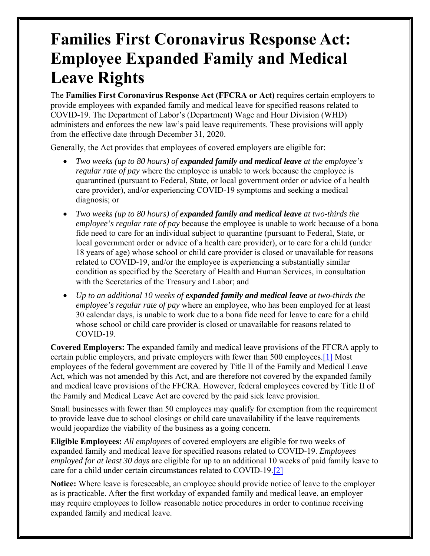## **Families First Coronavirus Response Act: Employee Expanded Family and Medical Leave Rights**

The **Families First Coronavirus Response Act (FFCRA or Act)** requires certain employers to provide employees with expanded family and medical leave for specified reasons related to COVID-19. The Department of Labor's (Department) Wage and Hour Division (WHD) administers and enforces the new law's paid leave requirements. These provisions will apply from the effective date through December 31, 2020.

Generally, the Act provides that employees of covered employers are eligible for:

- *Two weeks (up to 80 hours) of expanded family and medical leave at the employee's regular rate of pay* where the employee is unable to work because the employee is quarantined (pursuant to Federal, State, or local government order or advice of a health care provider), and/or experiencing COVID-19 symptoms and seeking a medical diagnosis; or
- *Two weeks (up to 80 hours) of expanded family and medical leave at two-thirds the employee's regular rate of pay* because the employee is unable to work because of a bona fide need to care for an individual subject to quarantine (pursuant to Federal, State, or local government order or advice of a health care provider), or to care for a child (under 18 years of age) whose school or child care provider is closed or unavailable for reasons related to COVID-19, and/or the employee is experiencing a substantially similar condition as specified by the Secretary of Health and Human Services, in consultation with the Secretaries of the Treasury and Labor; and
- *Up to an additional 10 weeks of expanded family and medical leave at two-thirds the employee's regular rate of pay* where an employee, who has been employed for at least 30 calendar days, is unable to work due to a bona fide need for leave to care for a child whose school or child care provider is closed or unavailable for reasons related to COVID-19.

**Covered Employers:** The expanded family and medical leave provisions of the FFCRA apply to certain public employers, and private employers with fewer than 500 employees.[1] Most employees of the federal government are covered by Title II of the Family and Medical Leave Act, which was not amended by this Act, and are therefore not covered by the expanded family and medical leave provisions of the FFCRA. However, federal employees covered by Title II of the Family and Medical Leave Act are covered by the paid sick leave provision.

Small businesses with fewer than 50 employees may qualify for exemption from the requirement to provide leave due to school closings or child care unavailability if the leave requirements would jeopardize the viability of the business as a going concern.

**Eligible Employees:** *All employees* of covered employers are eligible for two weeks of expanded family and medical leave for specified reasons related to COVID-19. *Employees employed for at least 30 days* are eligible for up to an additional 10 weeks of paid family leave to care for a child under certain circumstances related to COVID-19.[2]

**Notice:** Where leave is foreseeable, an employee should provide notice of leave to the employer as is practicable. After the first workday of expanded family and medical leave, an employer may require employees to follow reasonable notice procedures in order to continue receiving expanded family and medical leave.